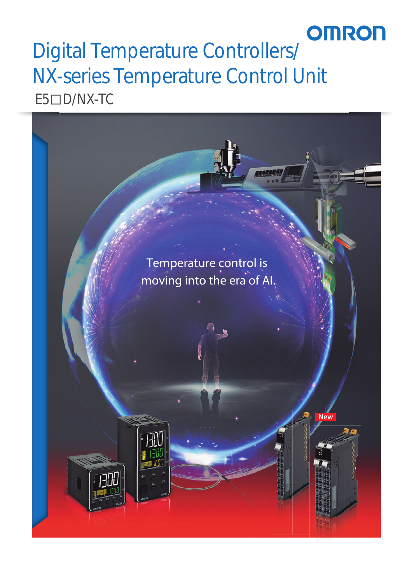# **OMRON** NIX-series Temperature Controll  $F5 \Box D/NX-TC$  $E5$  $D/NX$ -TC